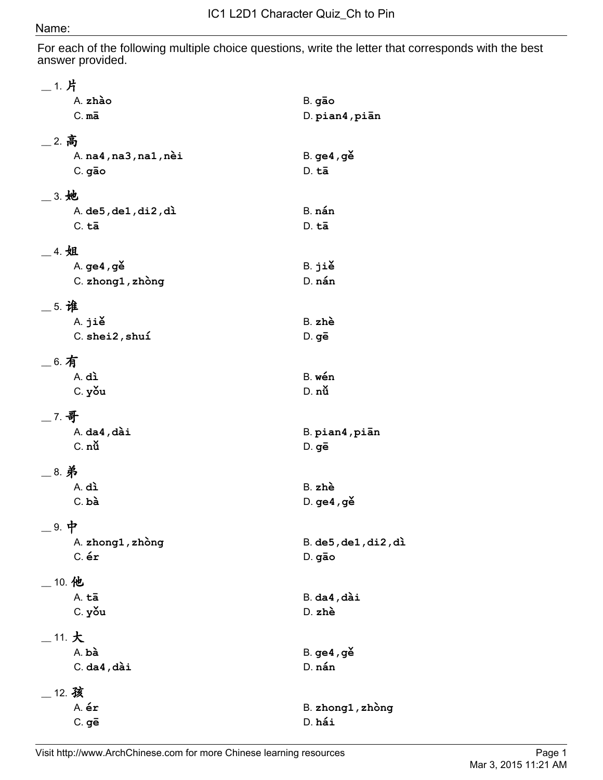## Name:

For each of the following multiple choice questions, write the letter that corresponds with the best answer provided.

| __ 1. 片                         |                        |
|---------------------------------|------------------------|
| A. zhào                         | B. gão                 |
| $C. m\overline{a}$              | D. pian4, piān         |
| __ 2. 高                         |                        |
| A. $na4, na3, na1, nèi$         | $B.$ ge4, ge           |
| C. gão                          | $D. t\bar{a}$          |
|                                 |                        |
| 3. 她                            |                        |
| A. $de5$ , $de1$ , $di2$ , $di$ | B. nán                 |
| $C. t\bar{a}$                   | $D. t\bar{a}$          |
| __ 4. 姐                         |                        |
| A. ge4, ge                      | B. jiě                 |
| C. zhong1, zhòng                | D. nán                 |
| _5. 谁                           |                        |
| A. jiě                          | B. zhè                 |
| C. shei2, shuí                  | $D.$ ge                |
|                                 |                        |
| $-$ 6. 有                        |                        |
| A. dì                           | B. wén                 |
| C. you                          | D. nù                  |
| $-7.$ 哥                         |                        |
| $A.$ da $4.$ , dài              | B. pian4, piān         |
| C. nù                           | D. gē                  |
| _8. 弟                           |                        |
| A. dì                           | B. zhè                 |
| $C.$ bà                         | $D.$ ge4, ge           |
|                                 |                        |
| _ 9. 中                          |                        |
| A. zhong1, zhòng                | $B.$ de5, de1, di2, di |
| $C.$ $\acute{\mathbf{e}}$ r     | D. gão                 |
| $\_$ 10. 他                      |                        |
| A. tā                           | $B.$ da $4$ , dài      |
| C. you                          | D. zhè                 |
| $\_$ 11. $\bigstar$             |                        |
| A. bà                           | B. ge4, gě             |
| $C.$ da4, dài                   | D. nán                 |
|                                 |                        |
| $\_$ 12. 孩<br>A. ér             | B. zhong1, zhòng       |
| $C.$ ge                         | D. hái                 |
|                                 |                        |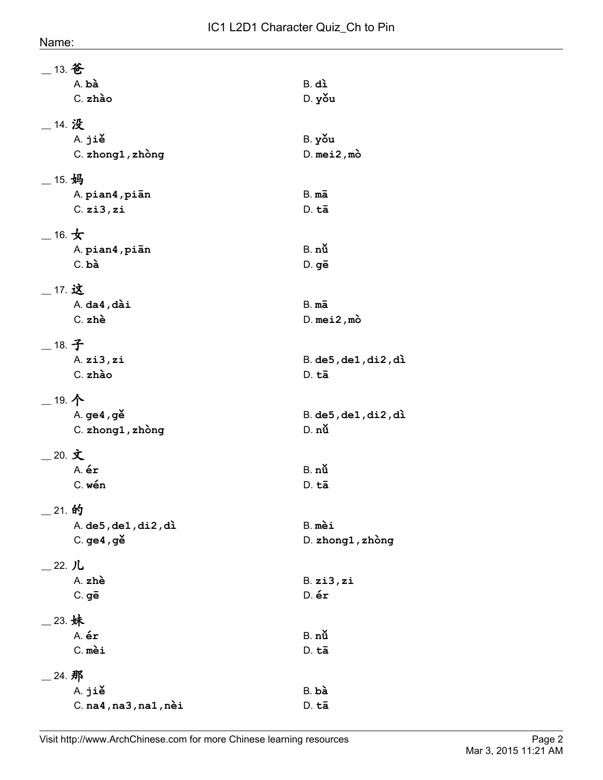| Name |
|------|
|------|

| $\_$ 13. 爸                      |                             |
|---------------------------------|-----------------------------|
| A. bà                           | B. dì                       |
| C. zhào                         | D. you                      |
| _14. 没                          |                             |
| A. jiě                          | B. you                      |
| C. zhong1, zhòng                | $D.$ mei2, mo               |
| $-$ 15. 妈                       |                             |
| A. pian4, piān                  | $B.m\bar{a}$                |
| $C.$ zi $3.$ zi                 | D. tā                       |
| $-$ 16. $\bigstar$              |                             |
| A. pian4, pian                  | $B.$ nu                     |
| $C.$ bà                         | D. gē                       |
| __ 17. 这                        |                             |
| $A.$ da $4.$ , dài              | $B.m\bar{a}$                |
| C. zhè                          | $D.$ mei2, mo               |
| _18. 子                          |                             |
| A.zi3,zi                        | $B.$ de5, de1, di2, di      |
| C. zhào                         | D. tā                       |
| $-$ 19. 个                       |                             |
| A. ge4, gě                      | $B.$ de5, de1, di2, di      |
| C. zhong1, zhòng                | D. nù                       |
| 20. 文                           |                             |
| A. ér                           | $B.$ nu                     |
| C. wén                          | D. tā                       |
| _ 21. 的                         |                             |
| A. $de5$ , $de1$ , $di2$ , $di$ | B. mèi                      |
| $C.$ ge4, ge $\geq$             | D. zhong1, zhòng            |
| _22. 儿                          |                             |
| A. zhè                          | $B.$ zi $3.$ zi             |
| $C.$ ge                         | $D.$ $\acute{\mathbf{e}}$ r |
| _23. 妹                          |                             |
| A. ér                           | $B.$ nu                     |
| C. mèi                          | D. tā                       |
| _ 24. 那                         |                             |
| A. jiě                          | $B.$ bà                     |
| $C.$ na4, na3, na1, nèi         | D. tā                       |